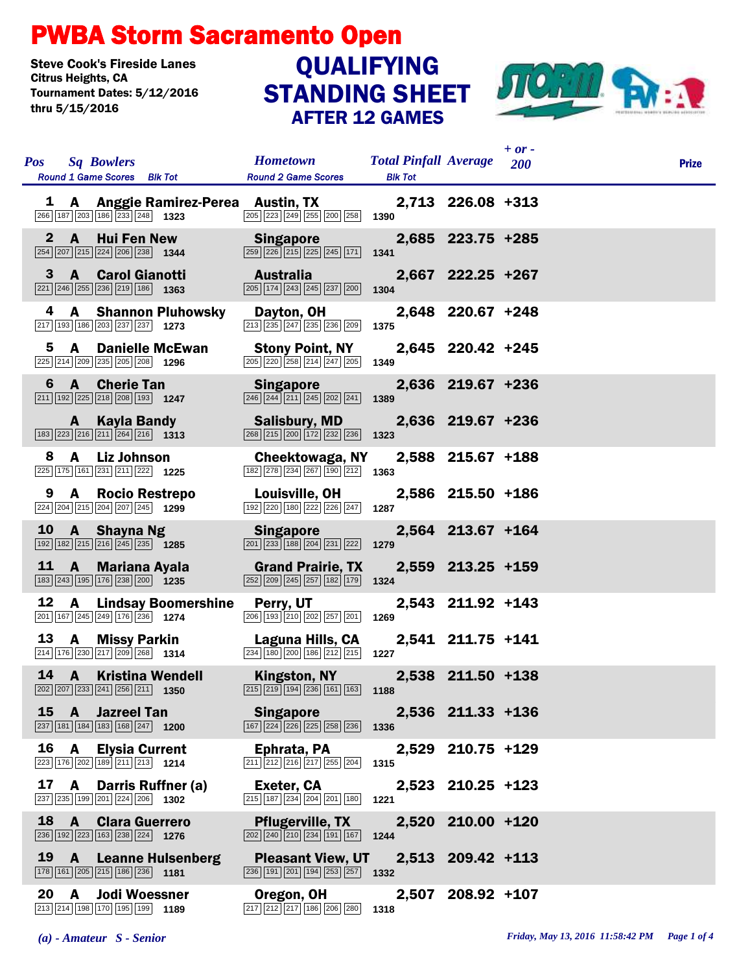## PWBA Storm Sacramento Open

Steve Cook's Fireside Lanes<br>Citrus Heights, CA Tournament Dates: 5/12/2016 thru 5/15/2016

## STANDING SHEET AFTER 12 GAMES QUALIFYING



| <b>Pos</b>   |              | <b>Sq Bowlers</b>                                                                                                          |                                     | <b>Hometown</b>                                                                                                 | <b>Total Pinfall Average</b> 200 |                   | $+$ or $-$ | <b>Prize</b> |
|--------------|--------------|----------------------------------------------------------------------------------------------------------------------------|-------------------------------------|-----------------------------------------------------------------------------------------------------------------|----------------------------------|-------------------|------------|--------------|
|              |              | <b>Round 1 Game Scores</b> Blk Tot                                                                                         |                                     | <b>Round 2 Game Scores</b>                                                                                      | <b>Blk Tot</b>                   |                   |            |              |
|              |              | 266 187 203 186 233 248 1323                                                                                               | 1 A Anggie Ramirez-Perea Austin, TX | 205 223 249 255 200 258                                                                                         | 1390                             | 2,713 226.08 +313 |            |              |
| $\mathbf{2}$ | $\mathbf{A}$ | Hui Fen New<br>254 207 215 224 206 238 1344                                                                                |                                     | <b>Singapore</b><br>259 226 215 225 245 171                                                                     | 1341                             | 2,685 223.75 +285 |            |              |
| 3            |              | <b>A</b> Carol Gianotti<br>$\boxed{221}$ $\boxed{246}$ $\boxed{255}$ $\boxed{236}$ $\boxed{219}$ $\boxed{186}$ <b>1363</b> |                                     | Australia<br>205 174 243 245 237 200                                                                            | 1304                             | 2,667 222.25 +267 |            |              |
| 4            |              | 217 193 186 203 237 237 1273                                                                                               | <b>A</b> Shannon Pluhowsky          | Dayton, OH<br>213 235 247 235 236 209                                                                           | 1375                             | 2,648 220.67 +248 |            |              |
| 5.           | A            | 225 214 209 235 205 208 1296                                                                                               | <b>Danielle McEwan</b>              | <b>Stony Point, NY</b><br>205 220 258 214 247 205                                                               | 1349                             | 2,645 220.42 +245 |            |              |
| 6            |              | <b>A</b> Cherie Tan<br>$\boxed{211}$ $\boxed{192}$ $\boxed{225}$ $\boxed{218}$ $\boxed{208}$ $\boxed{193}$ <b>1247</b>     |                                     | <b>Singapore</b><br>246 244 211 245 202 241                                                                     | 1389                             | 2,636 219.67 +236 |            |              |
|              | A            | $\boxed{183}\boxed{223}\boxed{216}\boxed{211}\boxed{264}\boxed{216}$ 1313                                                  | Kayla Bandy                         | <b>Salisbury, MD</b><br>268 215 200 172 232 236                                                                 | 1323                             | 2,636 219.67 +236 |            |              |
| 8.           | A            | Liz Johnson<br>$\boxed{225}$ 175 161 231 211 222 1225                                                                      |                                     | Cheektowaga, NY<br>182 278 234 267 190 212                                                                      | 1363                             | 2,588 215.67 +188 |            |              |
| 9            | A            | $\boxed{224}$ $\boxed{204}$ $\boxed{215}$ $\boxed{204}$ $\boxed{207}$ $\boxed{245}$ <b>1299</b>                            | <b>Rocio Restrepo</b>               | Louisville, OH<br>192 220 180 222 226 247                                                                       | 1287                             | 2,586 215.50 +186 |            |              |
|              |              | 10 A Shayna Ng<br>$\boxed{192}$ $\boxed{182}$ $\boxed{215}$ $\boxed{216}$ $\boxed{245}$ $\boxed{235}$ <b>1285</b>          |                                     | <b>Singapore</b><br>201 233 188 204 231 222                                                                     | 1279                             | 2,564 213.67 +164 |            |              |
| 11           | <b>A</b>     | 183 243 195 176 238 200 1235                                                                                               | Mariana Ayala                       | <b>Grand Prairie, TX</b><br>252 209 245 257 182 179                                                             | 1324                             | 2,559 213.25 +159 |            |              |
| 12           | A            | 201 167 245 249 176 236 1274                                                                                               | Lindsay Boomershine Perry, UT       | 206 193 210 202 257 201                                                                                         | 1269                             | 2,543 211.92 +143 |            |              |
| 13           | A            | <b>Missy Parkin</b><br>214 176 230 217 209 268 1314                                                                        |                                     | Laguna Hills, CA<br>234 180 200 186 212 215                                                                     | 1227                             | 2,541 211.75 +141 |            |              |
| 14           |              | $\boxed{202}$ $\boxed{207}$ $\boxed{233}$ $\boxed{241}$ $\boxed{256}$ $\boxed{211}$ <b>1350</b>                            | <b>A</b> Kristina Wendell           | Kingston, NY<br>$\boxed{215}$ $\boxed{219}$ $\boxed{194}$ $\boxed{236}$ $\boxed{161}$ $\boxed{163}$             | 1188                             | 2,538 211.50 +138 |            |              |
|              | $15 \quad A$ | <b>Jazreel Tan</b><br>$\boxed{237}$ 181 184 183 168 247 1200                                                               |                                     | <b>Singapore</b><br>167 224 226 225 258 236                                                                     | 1336                             | 2,536 211.33 +136 |            |              |
| 16           | $\mathbf{A}$ | 223 176 202 189 211 213 1214                                                                                               | <b>Elysia Current</b>               | Ephrata, PA<br>$\boxed{211}$ $\boxed{212}$ $\boxed{216}$ $\boxed{217}$ $\boxed{255}$ $\boxed{204}$              | 1315                             | 2,529 210.75 +129 |            |              |
| 17           | A            | 237 235 199 201 224 206 1302                                                                                               | Darris Ruffner (a)                  | Exeter, CA<br>215 187 234 204 201 180                                                                           | 1221                             | 2,523 210.25 +123 |            |              |
| 18           | <b>A</b>     | $\boxed{236}$ 192 223 163 238 224 1276                                                                                     | <b>Clara Guerrero</b>               | <b>Pflugerville, TX</b><br>$\boxed{202}\boxed{240}\boxed{210}\boxed{234}\boxed{191}\boxed{167}$                 | 1244                             | 2,520 210.00 +120 |            |              |
| 19           | $\mathbf{A}$ | 178 161 205 215 186 236 181                                                                                                | <b>Leanne Hulsenberg</b>            | <b>Pleasant View, UT</b><br>$\boxed{236}$ $\boxed{191}$ $\boxed{201}$ $\boxed{194}$ $\boxed{253}$ $\boxed{257}$ | 1332                             | 2,513 209.42 +113 |            |              |
| 20           | A            | 213 214 198 170 195 199 1189                                                                                               | <b>Jodi Woessner</b>                | Oregon, OH<br>217 212 217 186 206 280                                                                           | 2,507<br>1318                    | $208.92 + 107$    |            |              |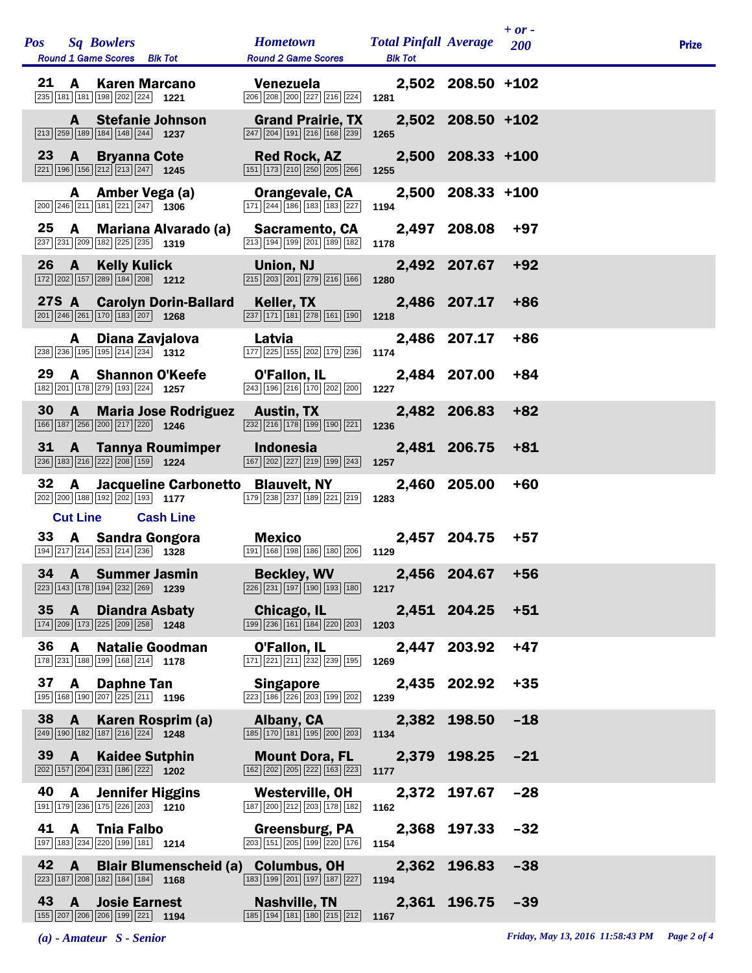| <b>Pos</b> |                 | <b>Sq Bowlers</b><br>Round 1 Game Scores Blk Tot                                                                         |                             | <b>Hometown</b><br><b>Round 2 Game Scores</b>                                                                   | <b>Total Pinfall Average</b><br><b>Blk Tot</b> |                   | $+ or -$<br>200 | <b>Prize</b> |
|------------|-----------------|--------------------------------------------------------------------------------------------------------------------------|-----------------------------|-----------------------------------------------------------------------------------------------------------------|------------------------------------------------|-------------------|-----------------|--------------|
| 21         | A               | <b>Karen Marcano</b><br>235 181 181 198 202 224 1221                                                                     |                             | Venezuela<br>$\boxed{206}$ $\boxed{208}$ $\boxed{200}$ $\boxed{227}$ $\boxed{216}$ $\boxed{224}$                | 1281                                           | 2,502 208.50 +102 |                 |              |
|            | A               | <b>Stefanie Johnson</b><br>213 259 189 184 148 244 1237                                                                  |                             | <b>Grand Prairie, TX</b><br>$\boxed{247}$ $\boxed{204}$ $\boxed{191}$ $\boxed{216}$ $\boxed{168}$ $\boxed{239}$ | 1265                                           | 2,502 208.50 +102 |                 |              |
|            | $23 \quad A$    | <b>Bryanna Cote</b><br>221 196 156 212 213 247 1245                                                                      |                             | <b>Red Rock, AZ</b><br>151 173 210 250 205 266                                                                  | 1255                                           | 2,500 208.33 +100 |                 |              |
|            | A               | Amber Vega (a)<br>$\boxed{200}$ $\boxed{246}$ $\boxed{211}$ $\boxed{181}$ $\boxed{221}$ $\boxed{247}$ <b>1306</b>        |                             | Orangevale, CA<br>171 244 186 183 183 227                                                                       | 1194                                           | 2,500 208.33 +100 |                 |              |
| 25         | $\mathbf{A}$    | 237 231 209 182 225 235 1319                                                                                             | <b>Mariana Alvarado (a)</b> | <b>Sacramento, CA</b><br>213 194 199 201 189 182                                                                | 1178                                           | 2,497 208.08      | $+97$           |              |
|            | 26 A            | <b>Kelly Kulick</b><br>172 202 157 289 184 208 1212                                                                      |                             | Union, NJ<br>$\boxed{215}$ $\boxed{203}$ $\boxed{201}$ $\boxed{279}$ $\boxed{216}$ $\boxed{166}$                | 1280                                           | 2,492 207.67      | $+92$           |              |
|            |                 | $\boxed{201}$ $\boxed{246}$ $\boxed{261}$ $\boxed{170}$ $\boxed{183}$ $\boxed{207}$ <b>1268</b>                          | 27S A Carolyn Dorin-Ballard | Keller, TX<br>$\boxed{237}$ $\boxed{171}$ $\boxed{181}$ $\boxed{278}$ $\boxed{161}$ $\boxed{190}$               | 1218                                           | 2,486 207.17      | +86             |              |
|            | A               | Diana Zavjalova<br>$\boxed{238}$ $\boxed{236}$ $\boxed{195}$ $\boxed{195}$ $\boxed{214}$ $\boxed{234}$ <b>1312</b>       |                             | Latvia<br>177 225 155 202 179 236                                                                               | 1174                                           | 2,486 207.17      | $+86$           |              |
| 29         | A               | <b>Shannon O'Keefe</b><br>182 201 178 279 193 224 1257                                                                   |                             | O'Fallon, IL<br>243 196 216 170 202 200                                                                         | 1227                                           | 2,484 207.00      | $+84$           |              |
| 30         | $\mathbf{A}$    | 166 187 256 200 217 220 1246                                                                                             | <b>Maria Jose Rodriguez</b> | <b>Austin, TX</b><br>$\boxed{232}$ $\boxed{216}$ $\boxed{178}$ $\boxed{199}$ $\boxed{190}$ $\boxed{221}$        | 1236                                           | 2,482 206.83      | $+82$           |              |
| 31         | <b>A</b>        | $\boxed{236}$ 183 216 222 208 159 1224                                                                                   | <b>Tannya Roumimper</b>     | <b>Indonesia</b><br>167 202 227 219 199 243                                                                     | 1257                                           | 2,481 206.75      | $+81$           |              |
| 32         | $\mathbf{A}$    | 202 200 188 192 202 193 1177                                                                                             |                             | Jacqueline Carbonetto Blauvelt, NY<br>179 238 237 189 221 219                                                   | 1283                                           | 2,460 205.00      | $+60$           |              |
|            | <b>Cut Line</b> | 33 A Sandra Gongora                                                                                                      | <b>Cash Line</b>            | Mexico                                                                                                          |                                                | 2,457 204.75      | $+57$           |              |
|            |                 | 194 217 214 253 214 236 1328                                                                                             |                             | 191 168 198 186 180 206 1129                                                                                    |                                                |                   |                 |              |
|            |                 | 34 A Summer Jasmin<br>223 143 178 194 232 269 1239                                                                       |                             | <b>Beckley, WV</b><br>$\boxed{226}\boxed{231}\boxed{197}\boxed{190}\boxed{193}\boxed{180}$ 1217                 |                                                | 2,456 204.67 +56  |                 |              |
|            | $35 \quad A$    | <b>Diandra Asbaty</b><br>$\boxed{174}$ $\boxed{209}$ $\boxed{173}$ $\boxed{225}$ $\boxed{209}$ $\boxed{258}$ <b>1248</b> |                             | Chicago, IL<br>199 236 161 184 220 203                                                                          | 1203                                           | 2,451 204.25      | $+51$           |              |
| 36         | A               | <b>Natalie Goodman</b><br>178 231 188 199 168 214 178                                                                    |                             | O'Fallon, IL<br>$\boxed{171}$ $\boxed{221}$ $\boxed{211}$ $\boxed{232}$ $\boxed{239}$ $\boxed{195}$             | 1269                                           | 2,447 203.92      | $+47$           |              |
| 37         |                 | <b>A</b> Daphne Tan<br>195 168 190 207 225 211 1196                                                                      |                             | <b>Singapore</b><br>$\boxed{223}\ \boxed{186}\ \boxed{226}\ \boxed{203}\ \boxed{199}\ \boxed{202}$              | 1239                                           | 2,435 202.92      | $+35$           |              |
|            | 38 A            | Karen Rosprim (a)<br>249 190 182 187 216 224 1248                                                                        |                             | Albany, CA<br>185 170 181 195 200 203                                                                           | 1134                                           | 2,382 198.50      | $-18$           |              |
|            | $39 \quad A$    | <b>Kaidee Sutphin</b><br>202 157 204 231 186 222 1202                                                                    |                             | <b>Mount Dora, FL</b><br>162 202 205 222 163 223                                                                | 1177                                           | 2,379 198.25      | $-21$           |              |
| 40         | A               | <b>Jennifer Higgins</b><br>191 179 236 175 226 203 1210                                                                  |                             | Westerville, OH<br>187 200 212 203 178 182                                                                      | 1162                                           | 2,372 197.67      | $-28$           |              |
| 41         |                 | A Tnia Falbo<br>197 183 234 220 199 181 1214                                                                             |                             | Greensburg, PA<br>203 151 205 199 220 176                                                                       | 1154                                           | 2,368 197.33      | $-32$           |              |
| 42         | $\mathbf{A}$    | $\boxed{223}$ 187 208 182 184 184 185                                                                                    |                             | Blair Blumenscheid (a) Columbus, OH<br>183 199 201 197 187 227                                                  | 1194                                           | 2,362 196.83      | $-38$           |              |
| 43         | $\mathbf{A}$    | <b>Josie Earnest</b><br>155 207 206 206 199 221 194                                                                      |                             | <b>Nashville, TN</b><br>185 194 181 180 215 212                                                                 | 1167                                           | 2,361 196.75      | $-39$           |              |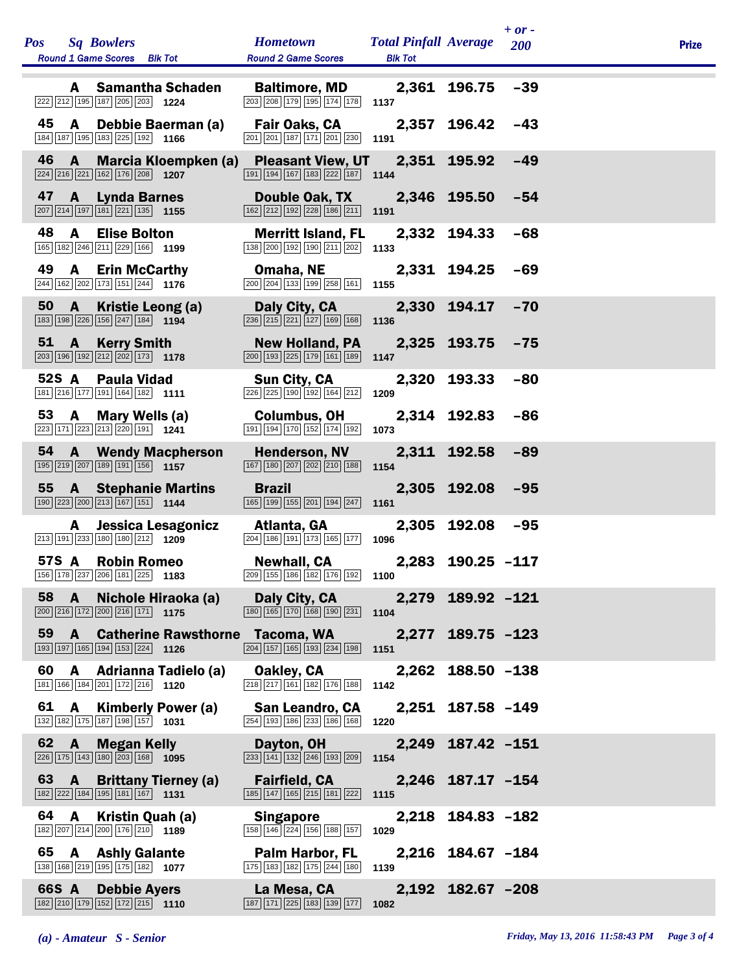| Pos Sq Bowlers<br><b>Round 1 Game Scores</b> Blk Tot                                                                                                            | <b>Hometown</b><br><b>Round 2 Game Scores</b>                                                                                     | <b>Total Pinfall Average</b><br><b>Blk Tot</b> |                   | $+ or -$<br>200 | <b>Prize</b> |
|-----------------------------------------------------------------------------------------------------------------------------------------------------------------|-----------------------------------------------------------------------------------------------------------------------------------|------------------------------------------------|-------------------|-----------------|--------------|
| A Samantha Schaden<br>222 212 195 187 205 203 1224                                                                                                              | <b>Baltimore, MD</b><br>$\boxed{203}$ $\boxed{208}$ $\boxed{179}$ $\boxed{195}$ $\boxed{174}$ $\boxed{178}$                       | 1137                                           | 2,361 196.75      | $-39$           |              |
| 45<br>A Debbie Baerman (a)<br>184 187 195 183 225 192 1166                                                                                                      | Fair Oaks, CA<br>201 201 187 171 201 230 1191                                                                                     |                                                | 2,357 196.42      | $-43$           |              |
| 46<br>$\mathbf{A}$<br><b>Marcia Kloempken (a)</b><br>$\boxed{224}$ $\boxed{216}$ $\boxed{221}$ $\boxed{162}$ $\boxed{176}$ $\boxed{208}$ <b>1207</b>            | Pleasant View, UT 2,351 195.92<br>$\boxed{191}$ $\boxed{194}$ $\boxed{167}$ $\boxed{183}$ $\boxed{222}$ $\boxed{187}$ <b>1144</b> |                                                |                   | $-49$           |              |
| 47<br><b>A</b> Lynda Barnes<br>$\boxed{207}$ $\boxed{214}$ $\boxed{197}$ $\boxed{181}$ $\boxed{221}$ $\boxed{135}$ <b>1155</b>                                  | Double Oak, TX<br>$\boxed{162}$ $\boxed{212}$ $\boxed{192}$ $\boxed{228}$ $\boxed{186}$ $\boxed{211}$ <b>1191</b>                 |                                                | 2,346 195.50      | $-54$           |              |
| 48<br><b>A</b><br><b>Elise Bolton</b><br>165 182 246 211 229 166 1199                                                                                           | <b>Merritt Island, FL</b><br>138 200 192 190 211 202                                                                              | 1133                                           | 2,332 194.33      | $-68$           |              |
| 49<br><b>Erin McCarthy</b><br><b>A</b><br>244 162 202 173 151 244 176                                                                                           | Omaha, NE<br>$\boxed{200}$ $\boxed{204}$ $\boxed{133}$ $\boxed{199}$ $\boxed{258}$ $\boxed{161}$ <b>1155</b>                      |                                                | 2,331 194.25      | -69             |              |
| 50<br>$\mathbf{A}$<br>Kristie Leong (a)<br>$\boxed{183}$ $\boxed{198}$ $\boxed{226}$ $\boxed{156}$ $\boxed{247}$ $\boxed{184}$ $\boxed{194}$                    | Daly City, CA<br>$\boxed{236}$ $\boxed{215}$ $\boxed{221}$ $\boxed{127}$ $\boxed{169}$ $\boxed{168}$                              | 1136                                           | 2,330 194.17      | $-70$           |              |
| 51 A<br><b>Kerry Smith</b><br>$\boxed{203}$ 196 192 212 202 173 178                                                                                             | <b>New Holland, PA</b><br>200 193 225 179 161 189                                                                                 | 1147                                           | 2,325 193.75      | -75             |              |
| 52S A<br><b>Paula Vidad</b><br>181 216 177 191 164 182 1111                                                                                                     | <b>Sun City, CA</b><br>$\boxed{226}$ $\boxed{225}$ $\boxed{190}$ $\boxed{192}$ $\boxed{164}$ $\boxed{212}$                        | 1209                                           | 2,320 193.33      | $-80$           |              |
| 53<br><b>A</b><br>Mary Wells (a)<br>223 171 223 213 220 191 1241                                                                                                | <b>Columbus, OH</b><br>191 194 170 152 174 192                                                                                    | 1073                                           | 2,314 192.83      | $-86$           |              |
| 54<br><b>A</b> Wendy Macpherson<br>$\boxed{195}$ $\boxed{219}$ $\boxed{207}$ $\boxed{189}$ $\boxed{191}$ $\boxed{156}$ <b>1157</b>                              | <b>Henderson, NV</b><br>167 180 207 202 210 188                                                                                   | 1154                                           | 2,311 192.58      | $-89$           |              |
| 55 A Stephanie Martins<br>$\boxed{190}$ $\boxed{223}$ $\boxed{200}$ $\boxed{213}$ $\boxed{167}$ $\boxed{151}$ <b>1144</b>                                       | <b>Brazil</b><br>$\boxed{165}$ $\boxed{199}$ $\boxed{155}$ $\boxed{201}$ $\boxed{194}$ $\boxed{247}$ <b>1161</b>                  |                                                | 2,305 192.08      | $-95$           |              |
| Jessica Lesagonicz<br>A<br>213 191 233 180 180 212 1209                                                                                                         | Atlanta, GA<br>204 186 191 173 165 177                                                                                            | 1096                                           | 2,305 192.08      | $-95$           |              |
| 57S A Robin Romeo<br>156 178 237 206 181 225 1183                                                                                                               | Newhall, CA<br>$\boxed{209}$ $\boxed{155}$ $\boxed{186}$ $\boxed{182}$ $\boxed{176}$ $\boxed{192}$ <b>1100</b>                    |                                                | 2,283 190.25 -117 |                 |              |
| 58 A<br>Nichole Hiraoka (a)<br>$\boxed{200}\boxed{216}\boxed{172}\boxed{200}\boxed{216}\boxed{171}$ 1175                                                        | Daly City, CA<br>$\boxed{180}$ $\boxed{165}$ $\boxed{170}$ $\boxed{168}$ $\boxed{190}$ $\boxed{231}$ <b>1104</b>                  |                                                | 2,279 189.92 -121 |                 |              |
| 59<br><b>Catherine Rawsthorne Tacoma, WA</b><br>$\mathbf{A}$<br>$\boxed{193}$ $\boxed{197}$ $\boxed{165}$ $\boxed{194}$ $\boxed{153}$ $\boxed{224}$ <b>1126</b> | $\boxed{204}$ 157 165 193 234 198 1151                                                                                            |                                                | 2,277 189.75 -123 |                 |              |
| 60<br><b>A</b><br><b>Adrianna Tadielo (a)</b><br>181 166 184 201 172 216 1120                                                                                   | Oakley, CA<br>$\boxed{218}$ $\boxed{217}$ $\boxed{161}$ $\boxed{182}$ $\boxed{176}$ $\boxed{188}$                                 | 1142                                           | 2,262 188.50 -138 |                 |              |
| 61<br><b>Kimberly Power (a)</b><br><b>A</b><br>132 182 175 187 198 157 1031                                                                                     | San Leandro, CA<br>254 193 186 233 186 168                                                                                        | 1220                                           | 2,251 187.58 -149 |                 |              |
| 62<br>$\mathbf{A}$<br><b>Megan Kelly</b><br>226 175 143 180 203 168 1095                                                                                        | Dayton, OH<br>$\boxed{233}\ \boxed{141}\ \boxed{132}\ \boxed{246}\ \boxed{193}\ \boxed{209}$                                      | 1154                                           | 2,249 187.42 -151 |                 |              |
| 63<br>$\mathbf{A}$<br><b>Brittany Tierney (a)</b><br>$\boxed{182}$ $\boxed{222}$ $\boxed{184}$ $\boxed{195}$ $\boxed{181}$ $\boxed{167}$ <b>1131</b>            | <b>Fairfield, CA</b><br>$\boxed{185}$ $\boxed{147}$ $\boxed{165}$ $\boxed{215}$ $\boxed{181}$ $\boxed{222}$                       | 1115                                           | 2,246 187.17 -154 |                 |              |
| 64<br>$\mathbf{A}$<br>Kristin Quah (a)<br>$\boxed{182}\boxed{207}\boxed{214}\boxed{200}\boxed{176}\boxed{210}$ 1189                                             | <b>Singapore</b><br>$\boxed{158}\boxed{146}\boxed{224}\boxed{156}\boxed{188}\boxed{157}$                                          | 1029                                           | 2,218 184.83 -182 |                 |              |
| 65<br><b>A</b> Ashly Galante<br>138 168 219 195 175 182 1077                                                                                                    | Palm Harbor, FL<br>175 183 182 175 244 180                                                                                        | 1139                                           | 2,216 184.67 -184 |                 |              |
| 66S A<br><b>Debbie Ayers</b><br>182 210 179 152 172 215 1110                                                                                                    | La Mesa, CA<br>187 171 225 183 139 177                                                                                            | 1082                                           | 2,192 182.67 -208 |                 |              |